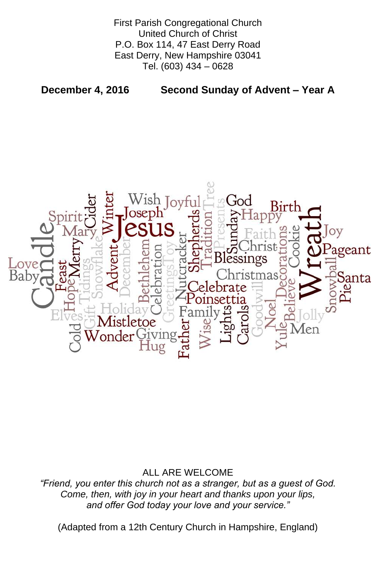First Parish Congregational Church United Church of Christ P.O. Box 114, 47 East Derry Road East Derry, New Hampshire 03041 Tel. (603) 434 – 0628

**December 4, 2016 Second Sunday of Advent – Year A**



# ALL ARE WELCOME

*"Friend, you enter this church not as a stranger, but as a guest of God. Come, then, with joy in your heart and thanks upon your lips, and offer God today your love and your service."*

(Adapted from a 12th Century Church in Hampshire, England)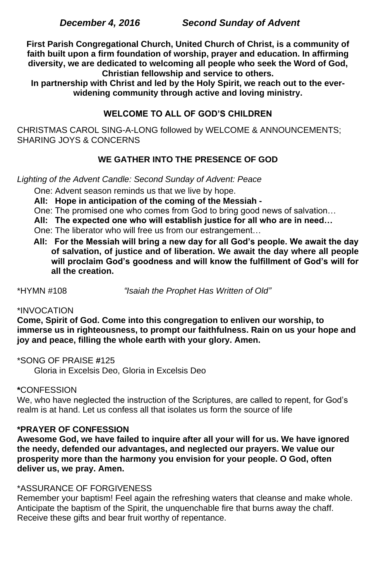**First Parish Congregational Church, United Church of Christ, is a community of faith built upon a firm foundation of worship, prayer and education. In affirming diversity, we are dedicated to welcoming all people who seek the Word of God, Christian fellowship and service to others.**

**In partnership with Christ and led by the Holy Spirit, we reach out to the everwidening community through active and loving ministry.**

# **WELCOME TO ALL OF GOD'S CHILDREN**

CHRISTMAS CAROL SING-A-LONG followed by WELCOME & ANNOUNCEMENTS; SHARING JOYS & CONCERNS

# **WE GATHER INTO THE PRESENCE OF GOD**

*Lighting of the Advent Candle: Second Sunday of Advent: Peace*

One: Advent season reminds us that we live by hope.

**All: Hope in anticipation of the coming of the Messiah -**

One: The promised one who comes from God to bring good news of salvation…

**All: The expected one who will establish justice for all who are in need…**

One: The liberator who will free us from our estrangement…

 **All: For the Messiah will bring a new day for all God's people. We await the day of salvation, of justice and of liberation. We await the day where all people will proclaim God's goodness and will know the fulfillment of God's will for all the creation.**

\*HYMN #108 *"Isaiah the Prophet Has Written of Old"*

# \*INVOCATION

**Come, Spirit of God. Come into this congregation to enliven our worship, to immerse us in righteousness, to prompt our faithfulness. Rain on us your hope and joy and peace, filling the whole earth with your glory. Amen.**

\*SONG OF PRAISE **#**125 Gloria in Excelsis Deo, Gloria in Excelsis Deo

# **\***CONFESSION

We, who have neglected the instruction of the Scriptures, are called to repent, for God's realm is at hand. Let us confess all that isolates us form the source of life

#### **\*PRAYER OF CONFESSION**

**Awesome God, we have failed to inquire after all your will for us. We have ignored the needy, defended our advantages, and neglected our prayers. We value our prosperity more than the harmony you envision for your people. O God, often deliver us, we pray. Amen.**

#### \*ASSURANCE OF FORGIVENESS

Remember your baptism! Feel again the refreshing waters that cleanse and make whole. Anticipate the baptism of the Spirit, the unquenchable fire that burns away the chaff. Receive these gifts and bear fruit worthy of repentance.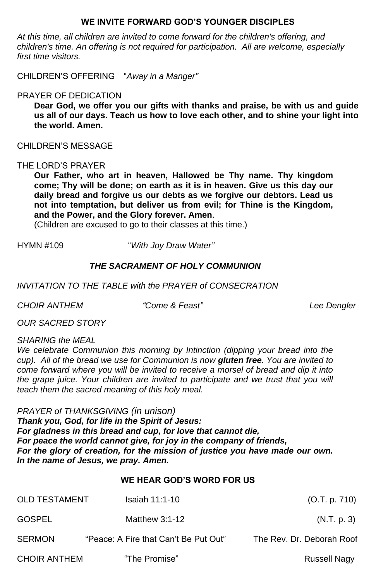# **WE INVITE FORWARD GOD'S YOUNGER DISCIPLES**

*At this time, all children are invited to come forward for the children's offering, and children's time. An offering is not required for participation. All are welcome, especially first time visitors.*

CHILDREN'S OFFERING "*Away in a Manger"*

# PRAYER OF DEDICATION

**Dear God, we offer you our gifts with thanks and praise, be with us and guide us all of our days. Teach us how to love each other, and to shine your light into the world. Amen.**

CHILDREN'S MESSAGE

## THE LORD'S PRAYER

**Our Father, who art in heaven, Hallowed be Thy name. Thy kingdom come; Thy will be done; on earth as it is in heaven. Give us this day our daily bread and forgive us our debts as we forgive our debtors. Lead us not into temptation, but deliver us from evil; for Thine is the Kingdom, and the Power, and the Glory forever. Amen**.

We celebrate Communion this morning by Intinction (dipping your bread into the *cup). All of the bread we use for Communion is now gluten free. You are invited to come forward where you will be invited to receive a morsel of bread and dip it into the grape juice. Your children are invited to participate and we trust that you will teach them the sacred meaning of this holy meal.*

(Children are excused to go to their classes at this time.)

HYMN #109 "*With Joy Draw Water"*

# *THE SACRAMENT OF HOLY COMMUNION*

## *INVITATION TO THE TABLE with the PRAYER of CONSECRATION*

*CHOIR ANTHEM "Come & Feast" Lee Dengler*

*OUR SACRED STORY*

*SHARING the MEAL*

*PRAYER of THANKSGIVING (in unison) Thank you, God, for life in the Spirit of Jesus:*

*For gladness in this bread and cup, for love that cannot die, For peace the world cannot give, for joy in the company of friends, For the glory of creation, for the mission of justice you have made our own. In the name of Jesus, we pray. Amen.*

# **WE HEAR GOD'S WORD FOR US**

OLD TESTAMENT Isaiah 11:1-10 (O.T. p. 710) GOSPEL Matthew 3:1-12 (N.T. p. 3) SERMON "Peace: A Fire that Can't Be Put Out" The Rev. Dr. Deborah Roof CHOIR ANTHEM "The Promise" CHOIR ANTHEM "The Promise"